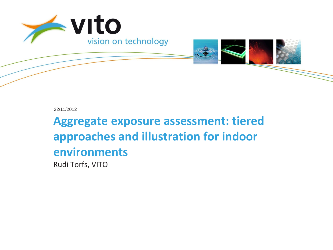



22/11/2012

**Aggregate exposure assessment: tiered approaches and illustration for indoor environments** Rudi Torfs, VITO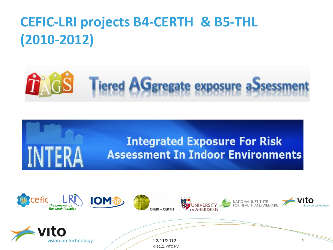# **CEFIC-LRI projects B4-CERTH & B5-THL (2010-2012)**



# **Integrated Exposure For Risk Assessment In Indoor Environments**

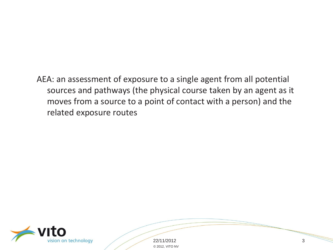AEA: an assessment of exposure to a single agent from all potential sources and pathways (the physical course taken by an agent as it moves from a source to a point of contact with a person) and the related exposure routes



22/11/2012 3 © 2012, VITO NV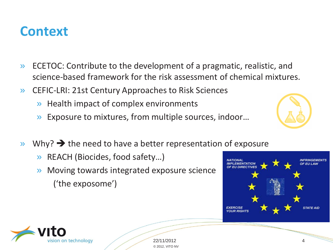#### **Context**

- » ECETOC: Contribute to the development of a pragmatic, realistic, and science-based framework for the risk assessment of chemical mixtures.
- » CEFIC-LRI: 21st Century Approaches to Risk Sciences
	- » Health impact of complex environments
	- » Exposure to mixtures, from multiple sources, indoor…
- $\triangleright$  Why?  $\rightarrow$  the need to have a better representation of exposure
	- » REACH (Biocides, food safety…)
	- » Moving towards integrated exposure science ('the exposome')





22/11/2012 4 © 2012, VITO NV

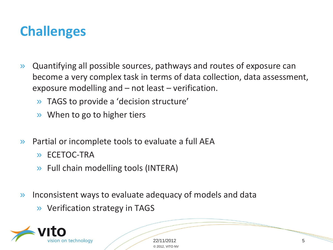#### **Challenges**

- » Quantifying all possible sources, pathways and routes of exposure can become a very complex task in terms of data collection, data assessment, exposure modelling and – not least – verification.
	- » TAGS to provide a 'decision structure'
	- » When to go to higher tiers
- » Partial or incomplete tools to evaluate a full AEA
	- » ECETOC-TRA
	- » Full chain modelling tools (INTERA)
- » Inconsistent ways to evaluate adequacy of models and data
	- » Verification strategy in TAGS



22/11/2012 5 © 2012, VITO NV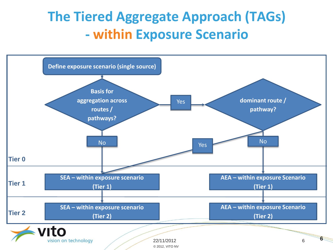#### **The Tiered Aggregate Approach (TAGs) - within Exposure Scenario**

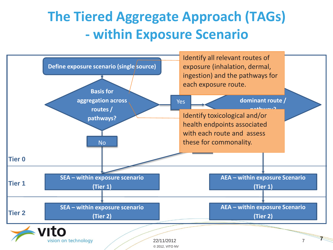#### **The Tiered Aggregate Approach (TAGs) - within Exposure Scenario**

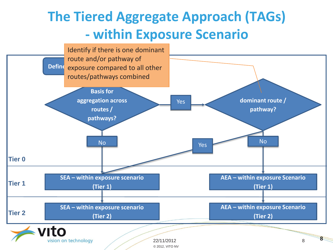## **The Tiered Aggregate Approach (TAGs) - within Exposure Scenario**

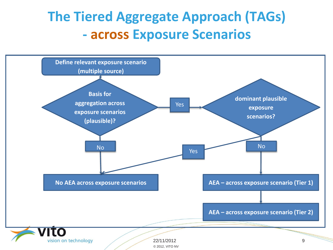## **The Tiered Aggregate Approach (TAGs) - across Exposure Scenarios**

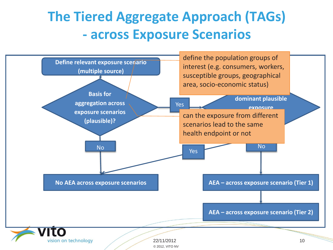## **The Tiered Aggregate Approach (TAGs) - across Exposure Scenarios**

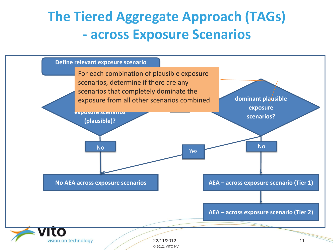#### **The Tiered Aggregate Approach (TAGs) - across Exposure Scenarios**

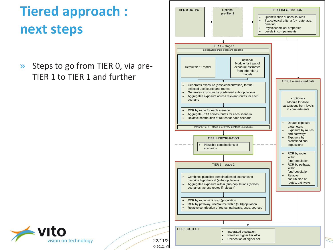# **Tiered approach : next steps**

» Steps to go from TIER 0, via pre-TIER 1 to TIER 1 and further



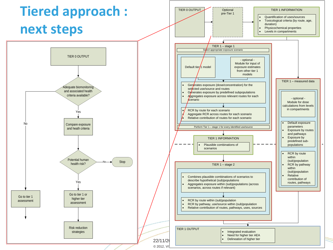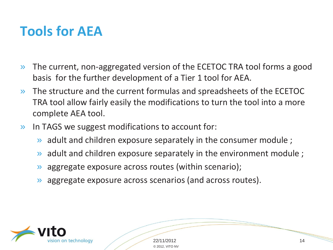#### **Tools for AEA**

- » The current, non-aggregated version of the ECETOC TRA tool forms a good basis for the further development of a Tier 1 tool for AEA.
- » The structure and the current formulas and spreadsheets of the ECETOC TRA tool allow fairly easily the modifications to turn the tool into a more complete AEA tool.
- » In TAGS we suggest modifications to account for:
	- adult and children exposure separately in the consumer module;
	- adult and children exposure separately in the environment module;
	- » aggregate exposure across routes (within scenario);
	- » aggregate exposure across scenarios (and across routes).



22/11/2012 14 © 2012, VITO NV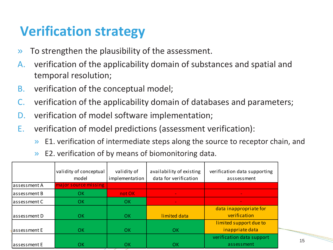#### **Verification strategy**

- » To strengthen the plausibility of the assessment.
- A. verification of the applicability domain of substances and spatial and temporal resolution;
- B. verification of the conceptual model;
- C. verification of the applicability domain of databases and parameters;
- D. verification of model software implementation;
- E. verification of model predictions (assessment verification):
	- » E1. verification of intermediate steps along the source to receptor chain, and
	- E2. verification of by means of biomonitoring data.

|              | validity of conceptual<br>model | validity of<br>implementation | availability of existing<br>data for verification | verification data supporting<br>asssessment |    |
|--------------|---------------------------------|-------------------------------|---------------------------------------------------|---------------------------------------------|----|
| assessment A | major source missing            |                               |                                                   |                                             |    |
| assessment B | ОK                              | not OK                        |                                                   |                                             |    |
| assessment C | OK.                             | OK                            |                                                   |                                             |    |
|              |                                 |                               |                                                   | data inappropriate for                      |    |
| assessment D | OK.                             | OK                            | limited data                                      | verification                                |    |
|              |                                 |                               |                                                   | limited support due to                      |    |
| assessment E | OK.                             | <b>OK</b>                     | OK                                                | inappriate data                             |    |
|              |                                 |                               |                                                   | verification data support                   |    |
| assessment E | OK.                             | <b>OK</b>                     | <b>OK</b>                                         | assessment                                  | 15 |
|              |                                 |                               |                                                   |                                             |    |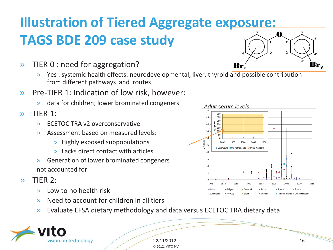# **Illustration of Tiered Aggregate exposure: TAGS BDE 209 case study**

- » TIER 0 : need for aggregation?
	- » Yes : systemic health effects: neurodevelopmental, liver, thyroid and possible contribution from different pathways and routes
- » Pre-TIER 1: Indication of low risk, however:
	- » data for children; lower brominated congeners
- » TIER 1:
	- » ECETOC TRA v2 overconservative
	- » Assessment based on measured levels:
		- » Highly exposed subpopulations
		- » Lacks direct contact with articles
	- » Generation of lower brominated congeners not accounted for
- » TIER 2:
	- » Low to no health risk
	- » Need to account for children in all tiers
	- » Evaluate EFSA dietary methodology and data versus ECETOC TRA dietary data



22/11/2012 16 © 2012, VITO NV



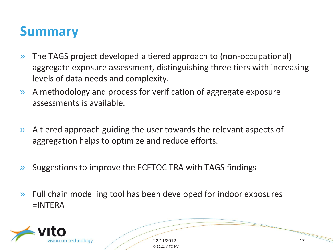#### **Summary**

- » The TAGS project developed a tiered approach to (non-occupational) aggregate exposure assessment, distinguishing three tiers with increasing levels of data needs and complexity.
- » A methodology and process for verification of aggregate exposure assessments is available.
- » A tiered approach guiding the user towards the relevant aspects of aggregation helps to optimize and reduce efforts.
- » Suggestions to improve the ECETOC TRA with TAGS findings
- » Full chain modelling tool has been developed for indoor exposures =INTERA



22/11/2012 17 © 2012, VITO NV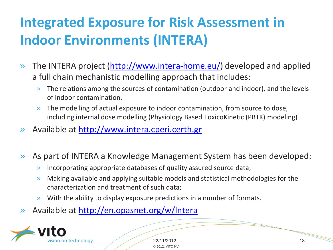# **Integrated Exposure for Risk Assessment in Indoor Environments (INTERA)**

- » The INTERA project (<http://www.intera-home.eu/>) developed and applied a full chain mechanistic modelling approach that includes:
	- » The relations among the sources of contamination (outdoor and indoor), and the levels of indoor contamination.
	- » The modelling of actual exposure to indoor contamination, from source to dose, including internal dose modelling (Physiology Based ToxicoKinetic (PBTK) modeling)
- » Available at [http://www.intera.cperi.certh.gr](http://www.intera.cperi.certh.gr/)
- » As part of INTERA a Knowledge Management System has been developed:
	- » Incorporating appropriate databases of quality assured source data;
	- » Making available and applying suitable models and statistical methodologies for the characterization and treatment of such data;
	- » With the ability to display exposure predictions in a number of formats.
- » Available at <http://en.opasnet.org/w/Intera>



22/11/2012 18 © 2012, VITO NV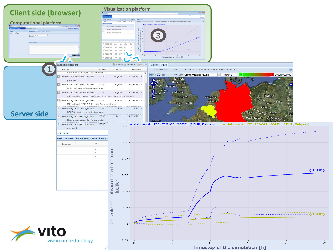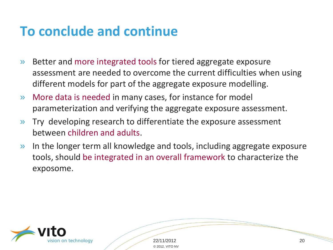#### **To conclude and continue**

- » Better and more integrated tools for tiered aggregate exposure assessment are needed to overcome the current difficulties when using different models for part of the aggregate exposure modelling.
- » More data is needed in many cases, for instance for model parameterization and verifying the aggregate exposure assessment.
- » Try developing research to differentiate the exposure assessment between children and adults.
- » In the longer term all knowledge and tools, including aggregate exposure tools, should be integrated in an overall framework to characterize the exposome.



22/11/2012 20 © 2012, VITO NV